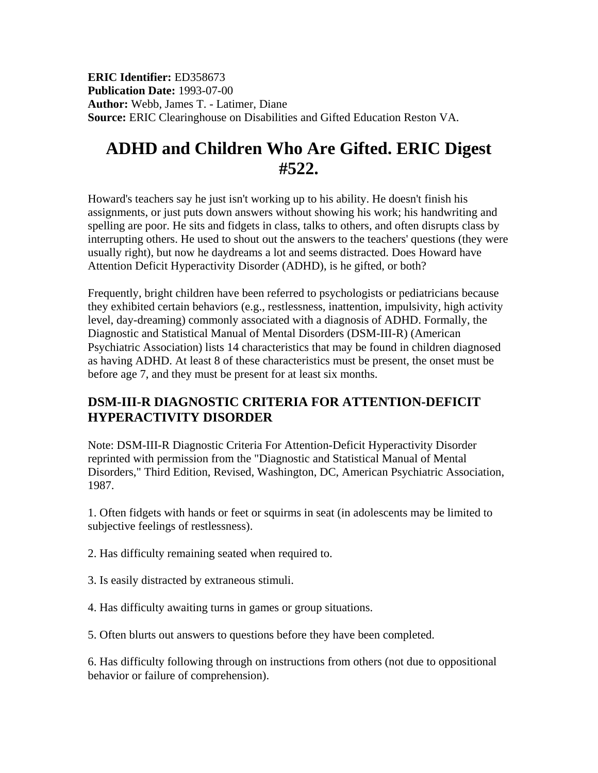**ERIC Identifier:** ED358673 **Publication Date:** 1993-07-00 **Author:** Webb, James T. - Latimer, Diane **Source:** ERIC Clearinghouse on Disabilities and Gifted Education Reston VA.

# **ADHD and Children Who Are Gifted. ERIC Digest #522.**

Howard's teachers say he just isn't working up to his ability. He doesn't finish his assignments, or just puts down answers without showing his work; his handwriting and spelling are poor. He sits and fidgets in class, talks to others, and often disrupts class by interrupting others. He used to shout out the answers to the teachers' questions (they were usually right), but now he daydreams a lot and seems distracted. Does Howard have Attention Deficit Hyperactivity Disorder (ADHD), is he gifted, or both?

Frequently, bright children have been referred to psychologists or pediatricians because they exhibited certain behaviors (e.g., restlessness, inattention, impulsivity, high activity level, day-dreaming) commonly associated with a diagnosis of ADHD. Formally, the Diagnostic and Statistical Manual of Mental Disorders (DSM-III-R) (American Psychiatric Association) lists 14 characteristics that may be found in children diagnosed as having ADHD. At least 8 of these characteristics must be present, the onset must be before age 7, and they must be present for at least six months.

## **DSM-III-R DIAGNOSTIC CRITERIA FOR ATTENTION-DEFICIT HYPERACTIVITY DISORDER**

Note: DSM-III-R Diagnostic Criteria For Attention-Deficit Hyperactivity Disorder reprinted with permission from the "Diagnostic and Statistical Manual of Mental Disorders," Third Edition, Revised, Washington, DC, American Psychiatric Association, 1987.

1. Often fidgets with hands or feet or squirms in seat (in adolescents may be limited to subjective feelings of restlessness).

2. Has difficulty remaining seated when required to.

- 3. Is easily distracted by extraneous stimuli.
- 4. Has difficulty awaiting turns in games or group situations.

5. Often blurts out answers to questions before they have been completed.

6. Has difficulty following through on instructions from others (not due to oppositional behavior or failure of comprehension).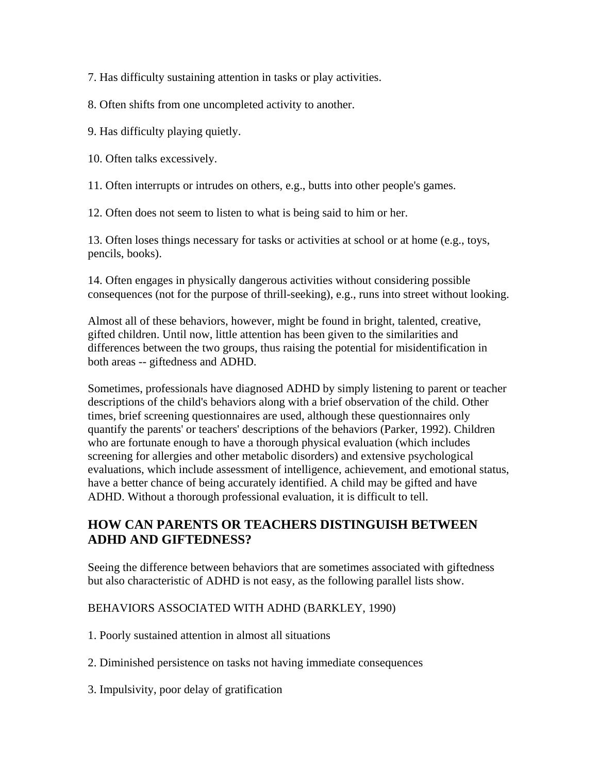7. Has difficulty sustaining attention in tasks or play activities.

8. Often shifts from one uncompleted activity to another.

9. Has difficulty playing quietly.

10. Often talks excessively.

11. Often interrupts or intrudes on others, e.g., butts into other people's games.

12. Often does not seem to listen to what is being said to him or her.

13. Often loses things necessary for tasks or activities at school or at home (e.g., toys, pencils, books).

14. Often engages in physically dangerous activities without considering possible consequences (not for the purpose of thrill-seeking), e.g., runs into street without looking.

Almost all of these behaviors, however, might be found in bright, talented, creative, gifted children. Until now, little attention has been given to the similarities and differences between the two groups, thus raising the potential for misidentification in both areas -- giftedness and ADHD.

Sometimes, professionals have diagnosed ADHD by simply listening to parent or teacher descriptions of the child's behaviors along with a brief observation of the child. Other times, brief screening questionnaires are used, although these questionnaires only quantify the parents' or teachers' descriptions of the behaviors (Parker, 1992). Children who are fortunate enough to have a thorough physical evaluation (which includes screening for allergies and other metabolic disorders) and extensive psychological evaluations, which include assessment of intelligence, achievement, and emotional status, have a better chance of being accurately identified. A child may be gifted and have ADHD. Without a thorough professional evaluation, it is difficult to tell.

## **HOW CAN PARENTS OR TEACHERS DISTINGUISH BETWEEN ADHD AND GIFTEDNESS?**

Seeing the difference between behaviors that are sometimes associated with giftedness but also characteristic of ADHD is not easy, as the following parallel lists show.

#### BEHAVIORS ASSOCIATED WITH ADHD (BARKLEY, 1990)

- 1. Poorly sustained attention in almost all situations
- 2. Diminished persistence on tasks not having immediate consequences
- 3. Impulsivity, poor delay of gratification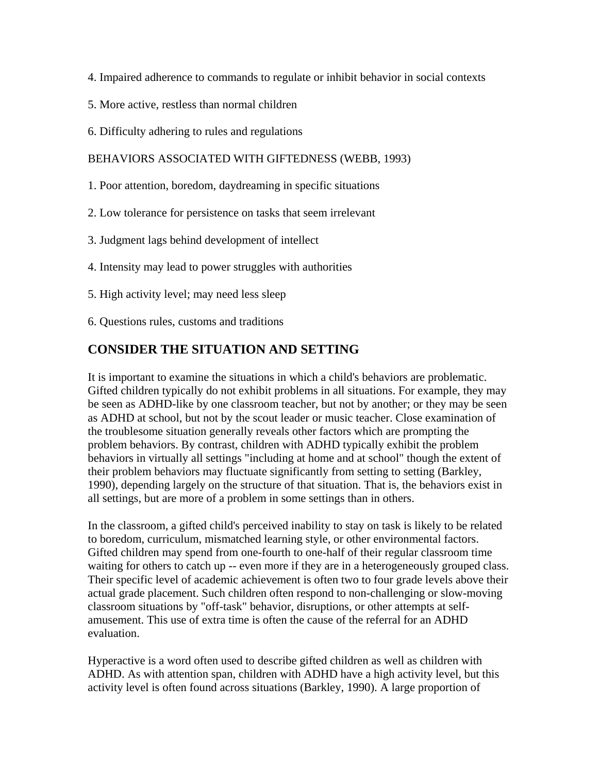- 4. Impaired adherence to commands to regulate or inhibit behavior in social contexts
- 5. More active, restless than normal children
- 6. Difficulty adhering to rules and regulations

#### BEHAVIORS ASSOCIATED WITH GIFTEDNESS (WEBB, 1993)

- 1. Poor attention, boredom, daydreaming in specific situations
- 2. Low tolerance for persistence on tasks that seem irrelevant
- 3. Judgment lags behind development of intellect
- 4. Intensity may lead to power struggles with authorities
- 5. High activity level; may need less sleep
- 6. Questions rules, customs and traditions

## **CONSIDER THE SITUATION AND SETTING**

It is important to examine the situations in which a child's behaviors are problematic. Gifted children typically do not exhibit problems in all situations. For example, they may be seen as ADHD-like by one classroom teacher, but not by another; or they may be seen as ADHD at school, but not by the scout leader or music teacher. Close examination of the troublesome situation generally reveals other factors which are prompting the problem behaviors. By contrast, children with ADHD typically exhibit the problem behaviors in virtually all settings "including at home and at school" though the extent of their problem behaviors may fluctuate significantly from setting to setting (Barkley, 1990), depending largely on the structure of that situation. That is, the behaviors exist in all settings, but are more of a problem in some settings than in others.

In the classroom, a gifted child's perceived inability to stay on task is likely to be related to boredom, curriculum, mismatched learning style, or other environmental factors. Gifted children may spend from one-fourth to one-half of their regular classroom time waiting for others to catch up -- even more if they are in a heterogeneously grouped class. Their specific level of academic achievement is often two to four grade levels above their actual grade placement. Such children often respond to non-challenging or slow-moving classroom situations by "off-task" behavior, disruptions, or other attempts at selfamusement. This use of extra time is often the cause of the referral for an ADHD evaluation.

Hyperactive is a word often used to describe gifted children as well as children with ADHD. As with attention span, children with ADHD have a high activity level, but this activity level is often found across situations (Barkley, 1990). A large proportion of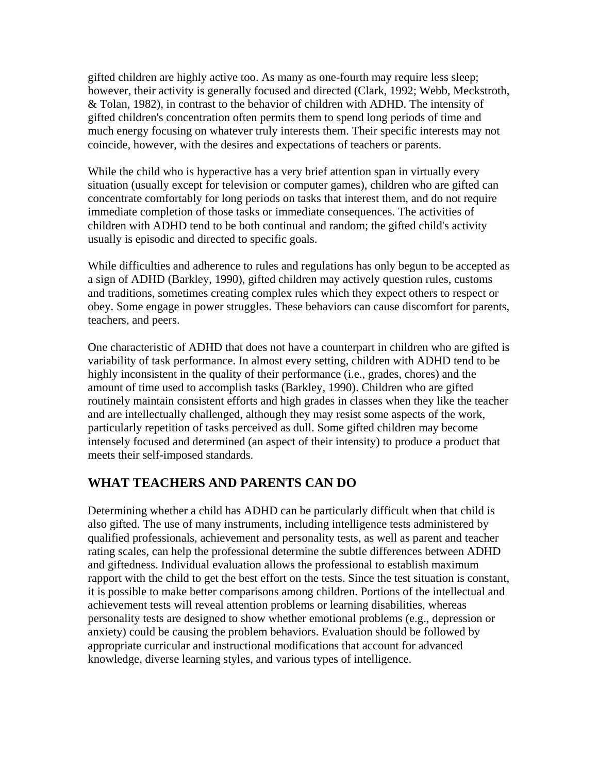gifted children are highly active too. As many as one-fourth may require less sleep; however, their activity is generally focused and directed (Clark, 1992; Webb, Meckstroth, & Tolan, 1982), in contrast to the behavior of children with ADHD. The intensity of gifted children's concentration often permits them to spend long periods of time and much energy focusing on whatever truly interests them. Their specific interests may not coincide, however, with the desires and expectations of teachers or parents.

While the child who is hyperactive has a very brief attention span in virtually every situation (usually except for television or computer games), children who are gifted can concentrate comfortably for long periods on tasks that interest them, and do not require immediate completion of those tasks or immediate consequences. The activities of children with ADHD tend to be both continual and random; the gifted child's activity usually is episodic and directed to specific goals.

While difficulties and adherence to rules and regulations has only begun to be accepted as a sign of ADHD (Barkley, 1990), gifted children may actively question rules, customs and traditions, sometimes creating complex rules which they expect others to respect or obey. Some engage in power struggles. These behaviors can cause discomfort for parents, teachers, and peers.

One characteristic of ADHD that does not have a counterpart in children who are gifted is variability of task performance. In almost every setting, children with ADHD tend to be highly inconsistent in the quality of their performance (i.e., grades, chores) and the amount of time used to accomplish tasks (Barkley, 1990). Children who are gifted routinely maintain consistent efforts and high grades in classes when they like the teacher and are intellectually challenged, although they may resist some aspects of the work, particularly repetition of tasks perceived as dull. Some gifted children may become intensely focused and determined (an aspect of their intensity) to produce a product that meets their self-imposed standards.

## **WHAT TEACHERS AND PARENTS CAN DO**

Determining whether a child has ADHD can be particularly difficult when that child is also gifted. The use of many instruments, including intelligence tests administered by qualified professionals, achievement and personality tests, as well as parent and teacher rating scales, can help the professional determine the subtle differences between ADHD and giftedness. Individual evaluation allows the professional to establish maximum rapport with the child to get the best effort on the tests. Since the test situation is constant, it is possible to make better comparisons among children. Portions of the intellectual and achievement tests will reveal attention problems or learning disabilities, whereas personality tests are designed to show whether emotional problems (e.g., depression or anxiety) could be causing the problem behaviors. Evaluation should be followed by appropriate curricular and instructional modifications that account for advanced knowledge, diverse learning styles, and various types of intelligence.